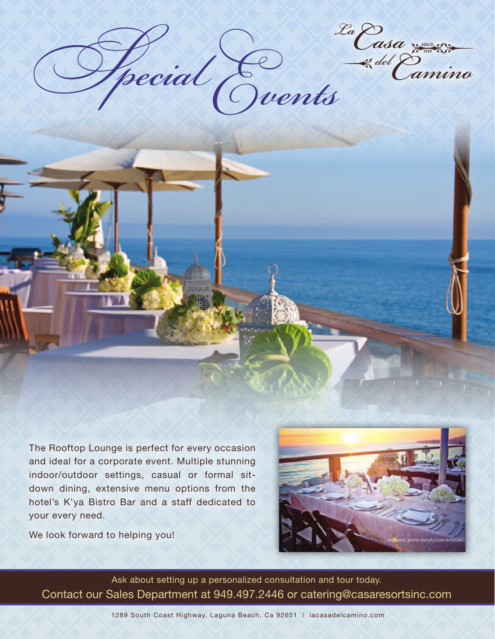*del Special Events*

The Rooftop Lounge is perfect for every occasion and ideal for a corporate event. Multiple stunning indoor/outdoor settings, casual or formal sitdown dining, extensive menu options from the hotel's K'ya Bistro Bar and a staff dedicated to your every need.

We look forward to helping you!



Ask about setting up a personalized consultation and tour today. Contact our Sales Department at 949.497.2446 or catering@casaresortsinc.com

1289 South Coast Highway, Laguna Beach, Ca 92651 | lacasadelcamino.com